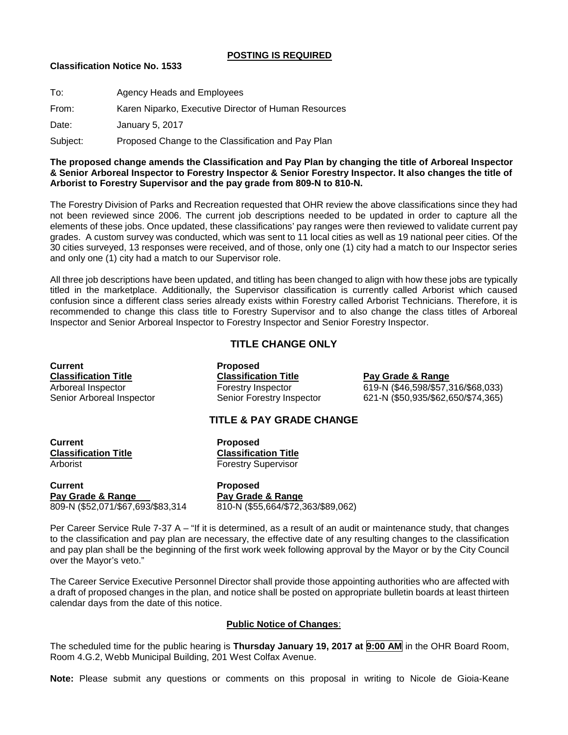### **POSTING IS REQUIRED**

### **Classification Notice No. 1533**

| To:      | Agency Heads and Employees                           |
|----------|------------------------------------------------------|
| From:    | Karen Niparko, Executive Director of Human Resources |
| Date:    | January 5, 2017                                      |
| Subject: | Proposed Change to the Classification and Pay Plan   |

### **The proposed change amends the Classification and Pay Plan by changing the title of Arboreal Inspector & Senior Arboreal Inspector to Forestry Inspector & Senior Forestry Inspector. It also changes the title of Arborist to Forestry Supervisor and the pay grade from 809-N to 810-N.**

The Forestry Division of Parks and Recreation requested that OHR review the above classifications since they had not been reviewed since 2006. The current job descriptions needed to be updated in order to capture all the elements of these jobs. Once updated, these classifications' pay ranges were then reviewed to validate current pay grades. A custom survey was conducted, which was sent to 11 local cities as well as 19 national peer cities. Of the 30 cities surveyed, 13 responses were received, and of those, only one (1) city had a match to our Inspector series and only one (1) city had a match to our Supervisor role.

All three job descriptions have been updated, and titling has been changed to align with how these jobs are typically titled in the marketplace. Additionally, the Supervisor classification is currently called Arborist which caused confusion since a different class series already exists within Forestry called Arborist Technicians. Therefore, it is recommended to change this class title to Forestry Supervisor and to also change the class titles of Arboreal Inspector and Senior Arboreal Inspector to Forestry Inspector and Senior Forestry Inspector.

# **TITLE CHANGE ONLY**

**Current Proposed Classification Title Classification Title Pay Grade & Range**<br> **Arboreal Inspector Classification Title Pay Grade & Range**<br> **Pay Grade & Range** 

Arboreal Inspector **Forestry Inspector** 619-N (\$46,598/\$57,316/\$68,033)<br>Senior Arboreal Inspector **621-N (\$50,935/\$62,650/\$74,365)** 621-N (\$50,935/\$62,650/\$74,365)

## **TITLE & PAY GRADE CHANGE**

**Current Proposed Classification Title Classification Title**

**Forestry Supervisor** 

**Current Proposed Pay Grade & Range**<br>809-N (\$52.071/\$67.693/\$83.314

810-N (\$55.664/\$72,363/\$89,062)

Per Career Service Rule 7-37 A – "If it is determined, as a result of an audit or maintenance study, that changes to the classification and pay plan are necessary, the effective date of any resulting changes to the classification and pay plan shall be the beginning of the first work week following approval by the Mayor or by the City Council over the Mayor's veto."

The Career Service Executive Personnel Director shall provide those appointing authorities who are affected with a draft of proposed changes in the plan, and notice shall be posted on appropriate bulletin boards at least thirteen calendar days from the date of this notice.

## **Public Notice of Changes**:

The scheduled time for the public hearing is **Thursday January 19, 2017 at 9:00 AM** in the OHR Board Room, Room 4.G.2, Webb Municipal Building, 201 West Colfax Avenue.

**Note:** Please submit any questions or comments on this proposal in writing to Nicole de Gioia-Keane